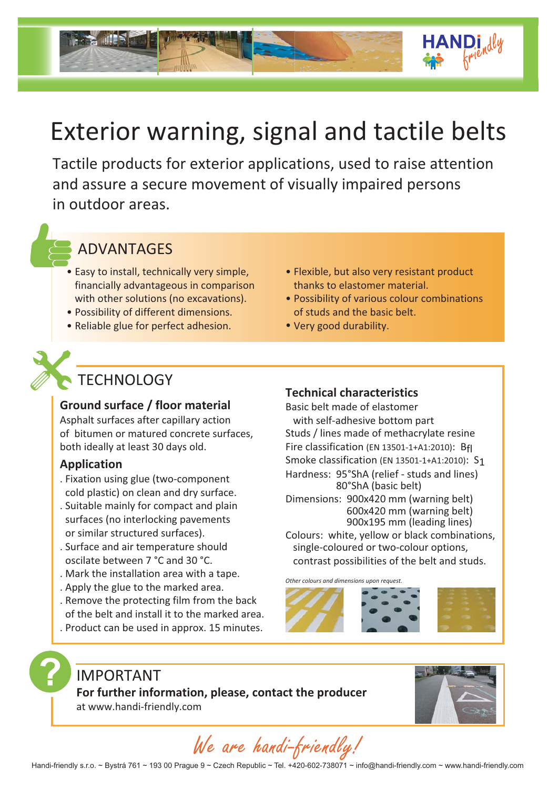# Exterior warning, signal and tactile belts

Tactile products for exterior applications, used to raise attention and assure a secure movement of visually impaired persons in outdoor areas.



### ADVANTAGES

- Easy to install, technically very simple, financially advantageous in comparison with other solutions (no excavations).
- Possibility of different dimensions. •
- Reliable glue for perfect adhesion.
- Flexible, but also very resistant product thanks to elastomer material.
- Possibility of various colour combinations of studs and the basic belt.
- Very good durability. •

### **TECHNOLOGY**

### **Ground surface / floor material**

Asphalt surfaces after capillary action of bitumen or matured concrete surfaces, both ideally at least 30 days old.

### **Application**

- . Fixation using glue (two-component cold plastic) on clean and dry surface.
- . Suitable mainly for compact and plain surfaces (no interlocking pavements or similar structured surfaces).
- Surface and air temperature should . oscilate between 7 °C and 30 °C.
- . Mark the installation area with a tape.
- . Apply the glue to the marked area.
- . Remove the protecting film from the back of the belt and install it to the marked area.
- . Product can be used in approx. 15 minutes.

### **Technical characteristics**

Basic belt made of elastomer with self-adhesive bottom part Studs / lines made of methacrylate resine Fire classification (EN 13501-1+A1:2010): Bfl Smoke classification (EN 13501-1+A1:2010): S1 Dimensions: 900x420 mm (warning belt) 600x420 mm (warning belt) Colours: white, yellow or black combinations, Hardness: 95°ShA (relief - studs and lines) 80°ShA (basic belt) 900x195 mm (leading lines)

 single-coloured or two-colour options, contrast possibilities of the belt and studs.

*Other colours and dimensions up* 







We are handi-friendly!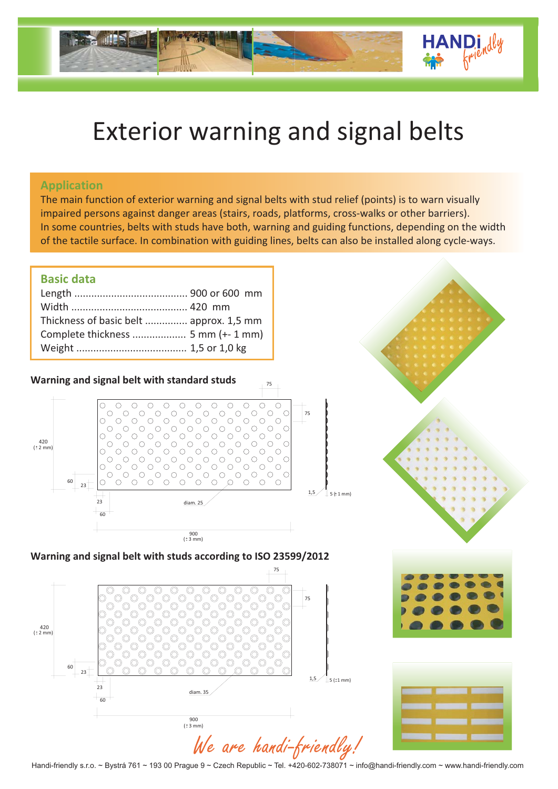## Exterior warning and signal belts

#### **Application**

The main function of exterior warning and signal belts with stud relief (points) is to warn visually impaired persons against danger areas (stairs, roads, platforms, cross-walks or other barriers). In some countries, belts with studs have both, warning and guiding functions, depending on the width of the tactile surface. In combination with guiding lines, belts can also be installed along cycle-ways.

### **Basic data**

| Thickness of basic belt  approx. 1,5 mm |  |
|-----------------------------------------|--|
|                                         |  |
|                                         |  |
|                                         |  |